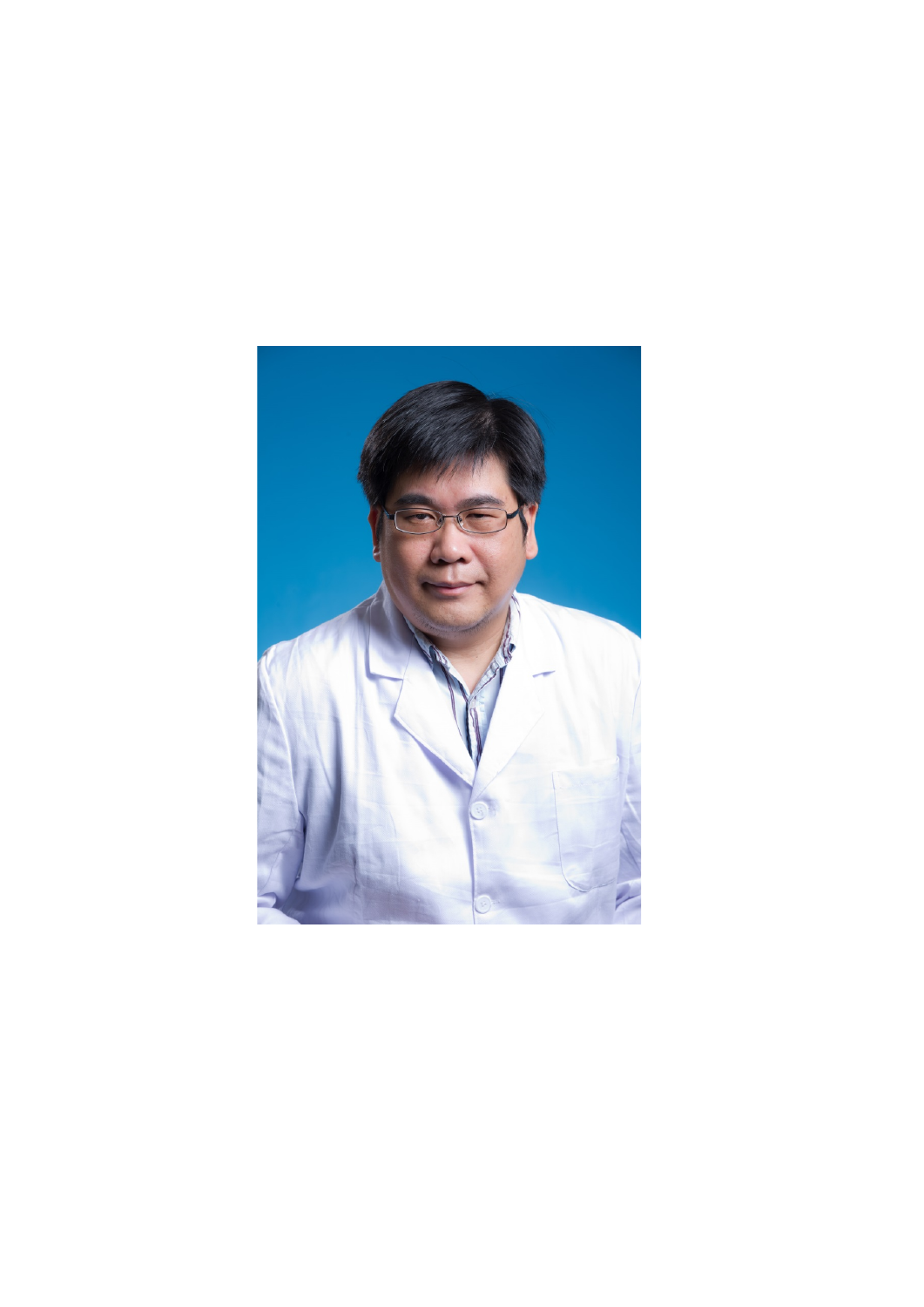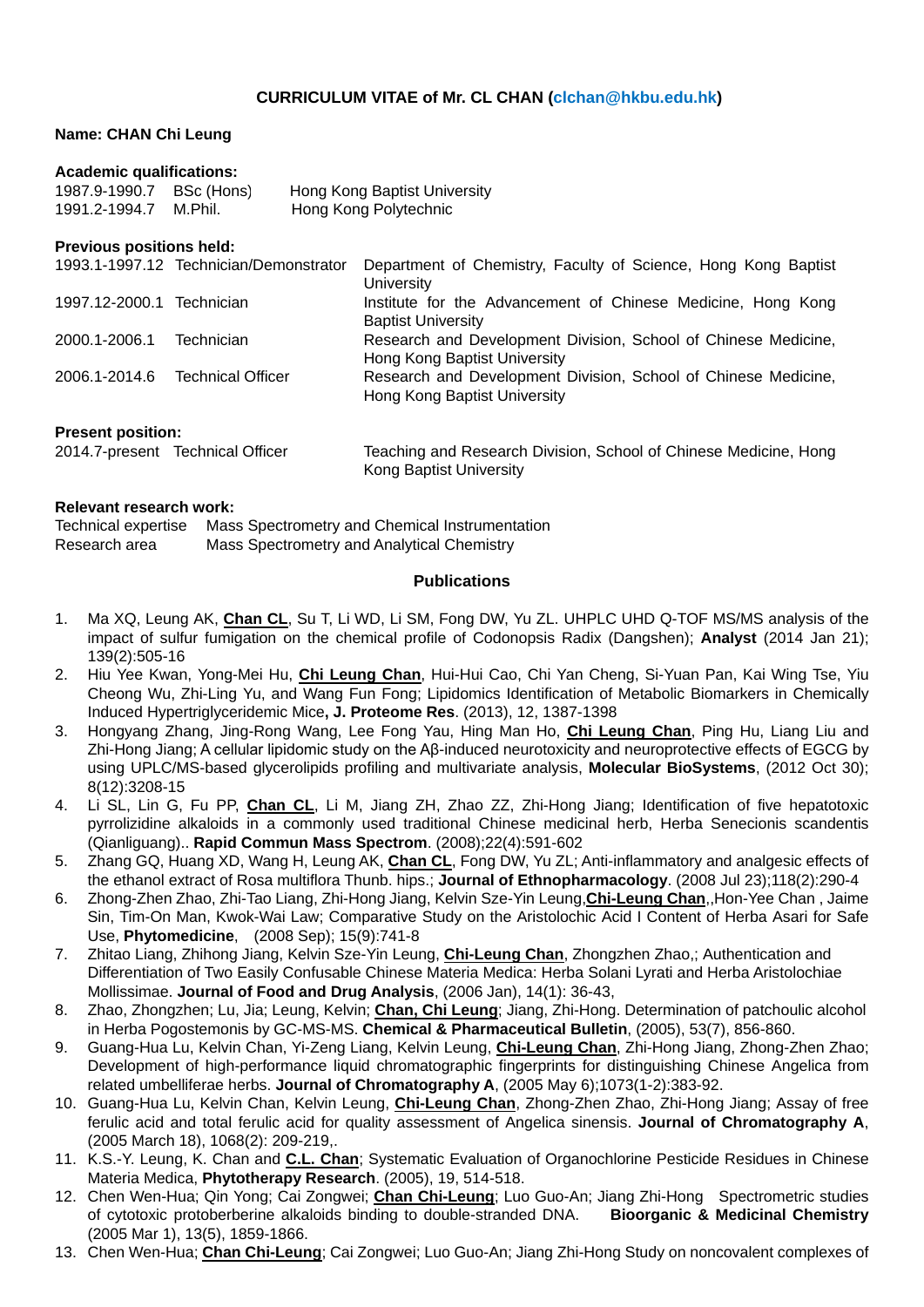## **CURRICULUM VITAE of Mr. CL CHAN [\(clchan@hkbu.edu.hk\)](mailto:clchan@hkbu.edu.hk)**

### **Name: CHAN Chi Leung**

| <b>Academic qualifications:</b><br>1987.9-1990.7<br>1991.2-1994.7 | BSc (Hons)<br>M.Phil.                  |  | Hong Kong Baptist University<br>Hong Kong Polytechnic                                          |  |  |  |  |  |  |
|-------------------------------------------------------------------|----------------------------------------|--|------------------------------------------------------------------------------------------------|--|--|--|--|--|--|
| <b>Previous positions held:</b>                                   |                                        |  |                                                                                                |  |  |  |  |  |  |
|                                                                   | 1993.1-1997.12 Technician/Demonstrator |  | Department of Chemistry, Faculty of Science, Hong Kong Baptist<br>University                   |  |  |  |  |  |  |
| 1997.12-2000.1                                                    | Technician                             |  | Institute for the Advancement of Chinese Medicine, Hong Kong<br><b>Baptist University</b>      |  |  |  |  |  |  |
| 2000.1-2006.1                                                     | Technician                             |  | Research and Development Division, School of Chinese Medicine,<br>Hong Kong Baptist University |  |  |  |  |  |  |
| 2006.1-2014.6                                                     | <b>Technical Officer</b>               |  | Research and Development Division, School of Chinese Medicine,<br>Hong Kong Baptist University |  |  |  |  |  |  |
| <b>Present position:</b>                                          |                                        |  |                                                                                                |  |  |  |  |  |  |
|                                                                   | 2014.7-present Technical Officer       |  | Teaching and Research Division, School of Chinese Medicine, Hong                               |  |  |  |  |  |  |

Kong Baptist University

#### **Relevant research work:**

Technical expertise Mass Spectrometry and Chemical Instrumentation Research area Mass Spectrometry and Analytical Chemistry

#### **Publications**

- 1. Ma XQ, Leung AK, **Chan CL**, Su T, Li WD, Li SM, Fong DW, Yu ZL. UHPLC UHD Q-TOF MS/MS analysis of the impact of sulfur fumigation on the chemical profile of Codonopsis Radix (Dangshen); **Analyst** (2014 Jan 21); 139(2):505-16
- 2. Hiu Yee Kwan, Yong-Mei Hu, **Chi Leung Chan**, Hui-Hui Cao, Chi Yan Cheng, Si-Yuan Pan, Kai Wing Tse, Yiu Cheong Wu, Zhi-Ling Yu, and Wang Fun Fong; Lipidomics Identification of Metabolic Biomarkers in Chemically Induced Hypertriglyceridemic Mice**, J. Proteome Res**. (2013), 12, 1387-1398
- 3. Hongyang Zhang, Jing-Rong Wang, Lee Fong Yau, Hing Man Ho, **Chi Leung Chan**, Ping Hu, Liang Liu and Zhi-Hong Jiang; A cellular lipidomic study on the Aβ-induced neurotoxicity and neuroprotective effects of EGCG by using UPLC/MS-based glycerolipids profiling and multivariate analysis, **Molecular BioSystems**, (2012 Oct 30); 8(12):3208-15
- 4. Li SL, Lin G, Fu PP, **Chan CL**, Li M, Jiang ZH, Zhao ZZ, Zhi-Hong Jiang; Identification of five hepatotoxic pyrrolizidine alkaloids in a commonly used traditional Chinese medicinal herb, Herba Senecionis scandentis (Qianliguang).. **Rapid Commun Mass Spectrom**. (2008);22(4):591-602
- 5. Zhang GQ, Huang XD, Wang H, Leung AK, **Chan CL**, Fong DW, Yu ZL; Anti-inflammatory and analgesic effects of the ethanol extract of Rosa multiflora Thunb. hips.; **Journal of Ethnopharmacology**. (2008 Jul 23);118(2):290-4
- 6. Zhong-Zhen Zhao, Zhi-Tao Liang, Zhi-Hong Jiang, Kelvin Sze-Yin Leung,**Chi-Leung Chan**,,Hon-Yee Chan , Jaime Sin, Tim-On Man, Kwok-Wai Law; Comparative Study on the Aristolochic Acid I Content of Herba Asari for Safe Use, **Phytomedicine**, (2008 Sep); 15(9):741-8
- 7. Zhitao Liang, Zhihong Jiang, Kelvin Sze-Yin Leung, **Chi-Leung Chan**, Zhongzhen Zhao,; Authentication and Differentiation of Two Easily Confusable Chinese Materia Medica: Herba Solani Lyrati and Herba Aristolochiae Mollissimae. **Journal of Food and Drug Analysis**, (2006 Jan), 14(1): 36-43,
- 8. Zhao, Zhongzhen; Lu, Jia; Leung, Kelvin; **Chan, Chi Leung**; Jiang, Zhi-Hong. Determination of patchoulic alcohol in Herba Pogostemonis by GC-MS-MS. **Chemical & Pharmaceutical Bulletin**, (2005), 53(7), 856-860.
- 9. Guang-Hua Lu, Kelvin Chan, Yi-Zeng Liang, Kelvin Leung, **Chi-Leung Chan**, Zhi-Hong Jiang, Zhong-Zhen Zhao; Development of high-performance liquid chromatographic fingerprints for distinguishing Chinese Angelica from related umbelliferae herbs. **Journal of Chromatography A**, (2005 May 6);1073(1-2):383-92.
- 10. Guang-Hua Lu, Kelvin Chan, Kelvin Leung, **Chi-Leung Chan**, Zhong-Zhen Zhao, Zhi-Hong Jiang; Assay of free ferulic acid and total ferulic acid for quality assessment of Angelica sinensis. **Journal of Chromatography A**, (2005 March 18), 1068(2): 209-219,.
- 11. K.S.-Y. Leung, K. Chan and **C.L. Chan**; Systematic Evaluation of Organochlorine Pesticide Residues in Chinese Materia Medica, **Phytotherapy Research**. (2005), 19, 514-518.
- 12. Chen Wen-Hua; Qin Yong; Cai Zongwei; **Chan Chi-Leung**; Luo Guo-An; Jiang Zhi-Hong Spectrometric studies of cytotoxic protoberberine alkaloids binding to double-stranded DNA. **Bioorganic & Medicinal Chemistry** (2005 Mar 1), 13(5), 1859-1866.
- 13. Chen Wen-Hua; **Chan Chi-Leung**; Cai Zongwei; Luo Guo-An; Jiang Zhi-Hong Study on noncovalent complexes of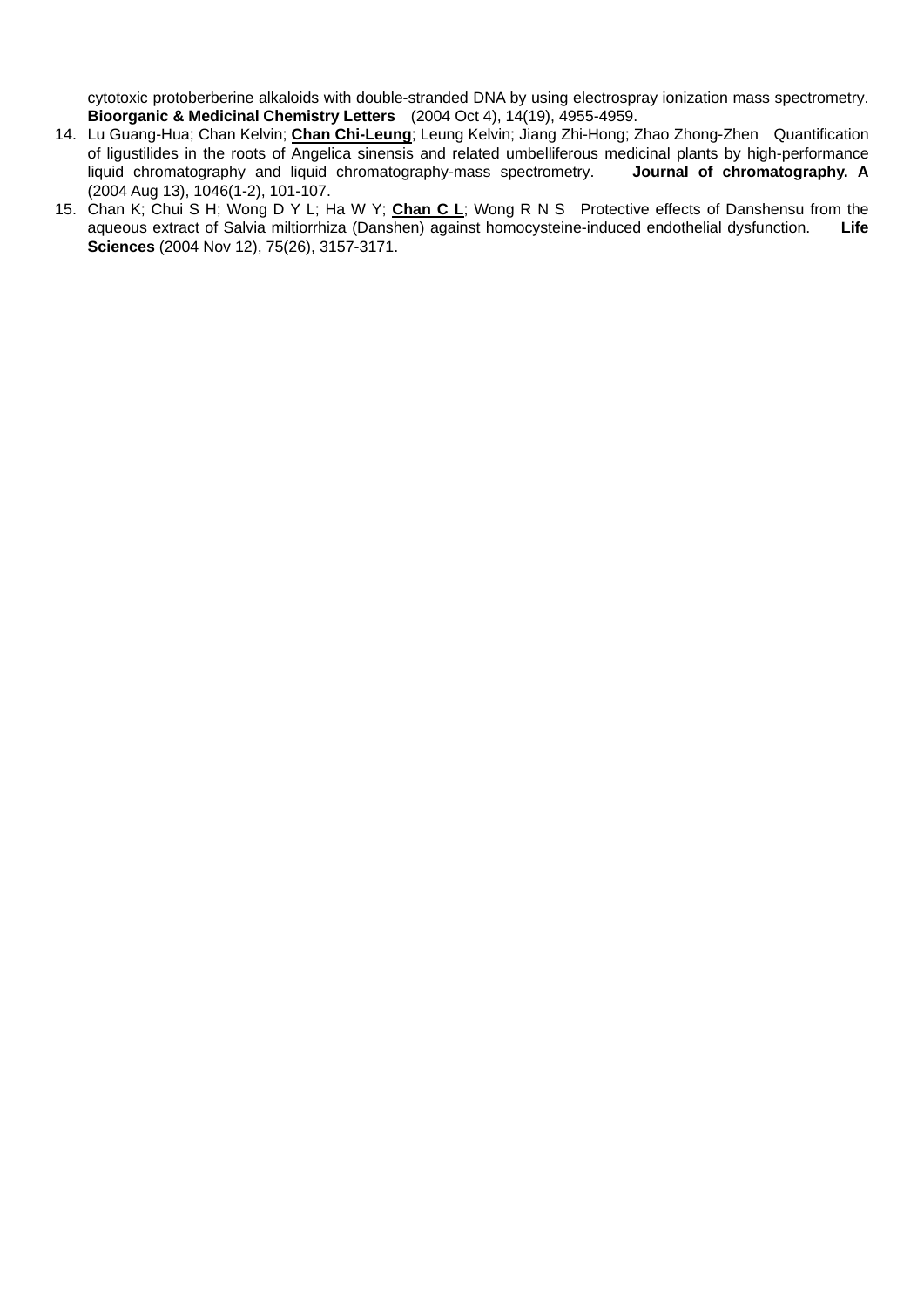cytotoxic protoberberine alkaloids with double-stranded DNA by using electrospray ionization mass spectrometry. **Bioorganic & Medicinal Chemistry Letters** (2004 Oct 4), 14(19), 4955-4959.

- 14. Lu Guang-Hua; Chan Kelvin; **Chan Chi-Leung**; Leung Kelvin; Jiang Zhi-Hong; Zhao Zhong-Zhen Quantification of ligustilides in the roots of Angelica sinensis and related umbelliferous medicinal plants by high-performance<br>liquid chromatography and liquid chromatography-mass spectrometry. Journal of chromatography. A liquid chromatography and liquid chromatography-mass spectrometry. (2004 Aug 13), 1046(1-2), 101-107.
- 15. Chan K; Chui S H; Wong D Y L; Ha W Y; **Chan C L**; Wong R N S Protective effects of Danshensu from the aqueous extract of Salvia miltiorrhiza (Danshen) against homocysteine-induced endothelial dysfunction. **Sciences** (2004 Nov 12), 75(26), 3157-3171.